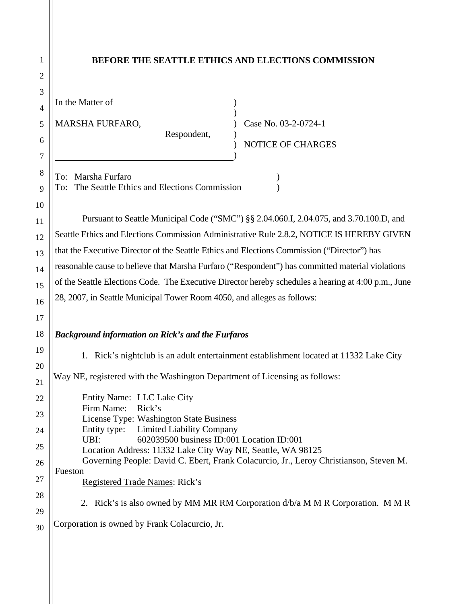| 1                                      | <b>BEFORE THE SEATTLE ETHICS AND ELECTIONS COMMISSION</b>                                                                                                                                                                                                                                                                                                                                                                                                                                                                                                                 |
|----------------------------------------|---------------------------------------------------------------------------------------------------------------------------------------------------------------------------------------------------------------------------------------------------------------------------------------------------------------------------------------------------------------------------------------------------------------------------------------------------------------------------------------------------------------------------------------------------------------------------|
| $\overline{2}$                         |                                                                                                                                                                                                                                                                                                                                                                                                                                                                                                                                                                           |
| 3<br>$\overline{4}$<br>5<br>6<br>7     | In the Matter of<br>MARSHA FURFARO,<br>Case No. 03-2-0724-1<br>Respondent,<br>NOTICE OF CHARGES                                                                                                                                                                                                                                                                                                                                                                                                                                                                           |
| 8<br>9<br>10                           | To: Marsha Furfaro<br>The Seattle Ethics and Elections Commission<br>To:                                                                                                                                                                                                                                                                                                                                                                                                                                                                                                  |
| 11<br>12<br>13<br>14<br>15<br>16<br>17 | Pursuant to Seattle Municipal Code ("SMC") §§ 2.04.060.I, 2.04.075, and 3.70.100.D, and<br>Seattle Ethics and Elections Commission Administrative Rule 2.8.2, NOTICE IS HEREBY GIVEN<br>that the Executive Director of the Seattle Ethics and Elections Commission ("Director") has<br>reasonable cause to believe that Marsha Furfaro ("Respondent") has committed material violations<br>of the Seattle Elections Code. The Executive Director hereby schedules a hearing at 4:00 p.m., June<br>28, 2007, in Seattle Municipal Tower Room 4050, and alleges as follows: |
| 18                                     | <b>Background information on Rick's and the Furfaros</b>                                                                                                                                                                                                                                                                                                                                                                                                                                                                                                                  |
| 19<br>20<br>21<br>22                   | 1. Rick's nightclub is an adult entertainment establishment located at 11332 Lake City<br>Way NE, registered with the Washington Department of Licensing as follows:<br>Entity Name: LLC Lake City<br>Firm Name:<br>Rick's                                                                                                                                                                                                                                                                                                                                                |
| 23<br>24<br>25<br>26                   | License Type: Washington State Business<br><b>Limited Liability Company</b><br>Entity type:<br>602039500 business ID:001 Location ID:001<br>UBI:<br>Location Address: 11332 Lake City Way NE, Seattle, WA 98125<br>Governing People: David C. Ebert, Frank Colacurcio, Jr., Leroy Christianson, Steven M.                                                                                                                                                                                                                                                                 |
| 27<br>28<br>29                         | Fueston<br>Registered Trade Names: Rick's<br>2. Rick's is also owned by MM MR RM Corporation d/b/a M M R Corporation. M M R                                                                                                                                                                                                                                                                                                                                                                                                                                               |
| 30                                     | Corporation is owned by Frank Colacurcio, Jr.                                                                                                                                                                                                                                                                                                                                                                                                                                                                                                                             |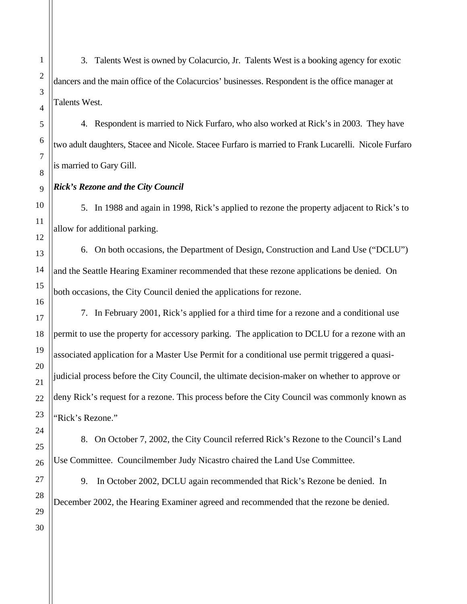3. Talents West is owned by Colacurcio, Jr. Talents West is a booking agency for exotic dancers and the main office of the Colacurcios' businesses. Respondent is the office manager at Talents West.

4. Respondent is married to Nick Furfaro, who also worked at Rick's in 2003. They have two adult daughters, Stacee and Nicole. Stacee Furfaro is married to Frank Lucarelli. Nicole Furfaro is married to Gary Gill.

## *Rick's Rezone and the City Council*

5. In 1988 and again in 1998, Rick's applied to rezone the property adjacent to Rick's to allow for additional parking.

6. On both occasions, the Department of Design, Construction and Land Use ("DCLU") and the Seattle Hearing Examiner recommended that these rezone applications be denied. On both occasions, the City Council denied the applications for rezone.

7. In February 2001, Rick's applied for a third time for a rezone and a conditional use permit to use the property for accessory parking. The application to DCLU for a rezone with an associated application for a Master Use Permit for a conditional use permit triggered a quasijudicial process before the City Council, the ultimate decision-maker on whether to approve or deny Rick's request for a rezone. This process before the City Council was commonly known as 'Rick's Rezone."

8. On October 7, 2002, the City Council referred Rick's Rezone to the Council's Land Use Committee. Councilmember Judy Nicastro chaired the Land Use Committee.

9. In October 2002, DCLU again recommended that Rick's Rezone be denied. In December 2002, the Hearing Examiner agreed and recommended that the rezone be denied.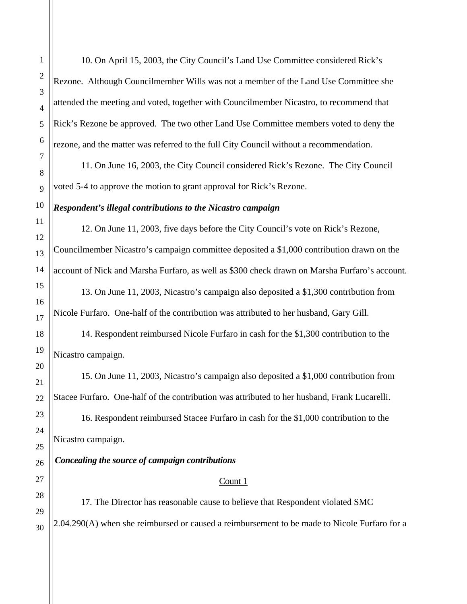10. On April 15, 2003, the City Council's Land Use Committee considered Rick's Rezone. Although Councilmember Wills was not a member of the Land Use Committee she attended the meeting and voted, together with Councilmember Nicastro, to recommend that Rick's Rezone be approved. The two other Land Use Committee members voted to deny the rezone, and the matter was referred to the full City Council without a recommendation.

11. On June 16, 2003, the City Council considered Rick's Rezone. The City Council voted 5-4 to approve the motion to grant approval for Rick's Rezone.

## *Respondent's illegal contributions to the Nicastro campaign*

12. On June 11, 2003, five days before the City Council's vote on Rick's Rezone, Councilmember Nicastro's campaign committee deposited a \$1,000 contribution drawn on the account of Nick and Marsha Furfaro, as well as \$300 check drawn on Marsha Furfaro's account.

13. On June 11, 2003, Nicastro's campaign also deposited a \$1,300 contribution from Nicole Furfaro. One-half of the contribution was attributed to her husband, Gary Gill.

14. Respondent reimbursed Nicole Furfaro in cash for the \$1,300 contribution to the Nicastro campaign.

15. On June 11, 2003, Nicastro's campaign also deposited a \$1,000 contribution from Stacee Furfaro. One-half of the contribution was attributed to her husband, Frank Lucarelli.

16. Respondent reimbursed Stacee Furfaro in cash for the \$1,000 contribution to the Nicastro campaign.

# *Concealing the source of campaign contributions*

## Count 1

17. The Director has reasonable cause to believe that Respondent violated SMC 2.04.290(A) when she reimbursed or caused a reimbursement to be made to Nicole Furfaro for a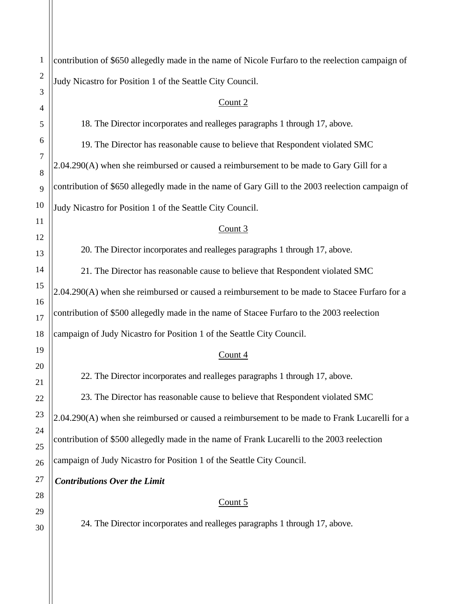| $\mathbf{1}$   | contribution of \$650 allegedly made in the name of Nicole Furfaro to the reelection campaign of |
|----------------|--------------------------------------------------------------------------------------------------|
| $\overline{c}$ | Judy Nicastro for Position 1 of the Seattle City Council.                                        |
| 3<br>4         | Count $2$                                                                                        |
| 5              | 18. The Director incorporates and realleges paragraphs 1 through 17, above.                      |
| 6              | 19. The Director has reasonable cause to believe that Respondent violated SMC                    |
| $\tau$         | 2.04.290(A) when she reimbursed or caused a reimbursement to be made to Gary Gill for a          |
| 8<br>9         | contribution of \$650 allegedly made in the name of Gary Gill to the 2003 reelection campaign of |
| 10             | Judy Nicastro for Position 1 of the Seattle City Council.                                        |
| 11             | Count 3                                                                                          |
| 12             | 20. The Director incorporates and realleges paragraphs 1 through 17, above.                      |
| 13<br>14       | 21. The Director has reasonable cause to believe that Respondent violated SMC                    |
| 15             | 2.04.290(A) when she reimbursed or caused a reimbursement to be made to Stacee Furfaro for a     |
| 16             | contribution of \$500 allegedly made in the name of Stacee Furfaro to the 2003 reelection        |
| 17             |                                                                                                  |
| 18<br>19       | campaign of Judy Nicastro for Position 1 of the Seattle City Council.                            |
| 20             | Count $4$                                                                                        |
| 21             | 22. The Director incorporates and realleges paragraphs 1 through 17, above.                      |
| 22             | 23. The Director has reasonable cause to believe that Respondent violated SMC                    |
| 23             | 2.04.290(A) when she reimbursed or caused a reimbursement to be made to Frank Lucarelli for a    |
| 24             | contribution of \$500 allegedly made in the name of Frank Lucarelli to the 2003 reelection       |
| 25<br>26       | campaign of Judy Nicastro for Position 1 of the Seattle City Council.                            |
| 27             | <b>Contributions Over the Limit</b>                                                              |
| 28             |                                                                                                  |
| 29             | Count $5$                                                                                        |
| 30             | 24. The Director incorporates and realleges paragraphs 1 through 17, above.                      |
|                |                                                                                                  |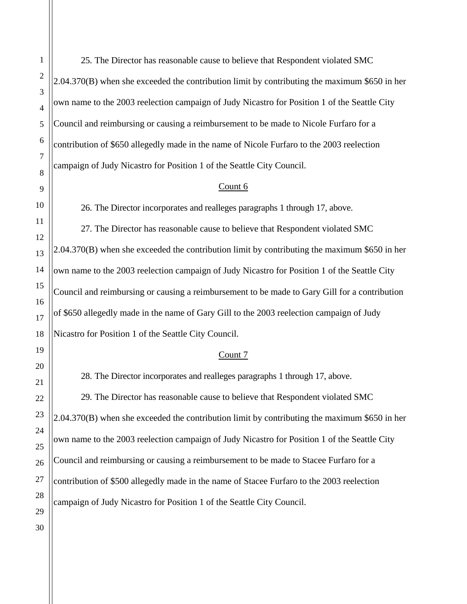25. The Director has reasonable cause to believe that Respondent violated SMC 2.04.370(B) when she exceeded the contribution limit by contributing the maximum \$650 in her own name to the 2003 reelection campaign of Judy Nicastro for Position 1 of the Seattle City Council and reimbursing or causing a reimbursement to be made to Nicole Furfaro for a contribution of \$650 allegedly made in the name of Nicole Furfaro to the 2003 reelection campaign of Judy Nicastro for Position 1 of the Seattle City Council.

#### Count 6

26. The Director incorporates and realleges paragraphs 1 through 17, above.

27. The Director has reasonable cause to believe that Respondent violated SMC  $2.04.370(B)$  when she exceeded the contribution limit by contributing the maximum \$650 in her own name to the 2003 reelection campaign of Judy Nicastro for Position 1 of the Seattle City Council and reimbursing or causing a reimbursement to be made to Gary Gill for a contribution of \$650 allegedly made in the name of Gary Gill to the 2003 reelection campaign of Judy Nicastro for Position 1 of the Seattle City Council.

#### Count 7

28. The Director incorporates and realleges paragraphs 1 through 17, above. 29. The Director has reasonable cause to believe that Respondent violated SMC 2.04.370(B) when she exceeded the contribution limit by contributing the maximum \$650 in her own name to the 2003 reelection campaign of Judy Nicastro for Position 1 of the Seattle City Council and reimbursing or causing a reimbursement to be made to Stacee Furfaro for a contribution of \$500 allegedly made in the name of Stacee Furfaro to the 2003 reelection campaign of Judy Nicastro for Position 1 of the Seattle City Council.